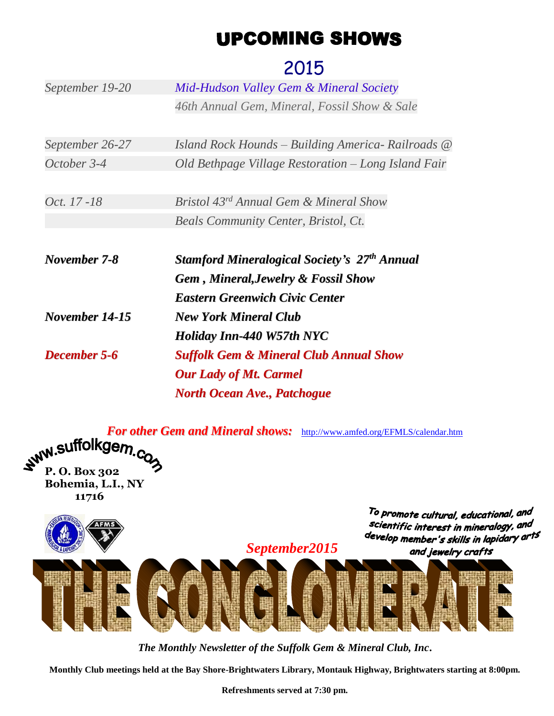## **UPCOMING SHOWS**

## 2015

| September 19-20     | Mid-Hudson Valley Gem & Mineral Society             |  |  |
|---------------------|-----------------------------------------------------|--|--|
|                     | 46th Annual Gem, Mineral, Fossil Show & Sale        |  |  |
|                     |                                                     |  |  |
| September 26-27     | Island Rock Hounds – Building America- Railroads @  |  |  |
| October 3-4         | Old Bethpage Village Restoration – Long Island Fair |  |  |
|                     |                                                     |  |  |
| Oct. 17 - 18        | Bristol 43rd Annual Gem & Mineral Show              |  |  |
|                     | <b>Beals Community Center, Bristol, Ct.</b>         |  |  |
|                     |                                                     |  |  |
|                     |                                                     |  |  |
| November 7-8        | <b>Stamford Mineralogical Society's 27th Annual</b> |  |  |
|                     | <b>Gem, Mineral, Jewelry &amp; Fossil Show</b>      |  |  |
|                     | <b>Eastern Greenwich Civic Center</b>               |  |  |
| November 14-15      | <b>New York Mineral Club</b>                        |  |  |
|                     | <b>Holiday Inn-440 W57th NYC</b>                    |  |  |
| <b>December 5-6</b> | <b>Suffolk Gem &amp; Mineral Club Annual Show</b>   |  |  |
|                     | <b>Our Lady of Mt. Carmel</b>                       |  |  |
|                     | <b>North Ocean Ave., Patchogue</b>                  |  |  |

*For other Gem and Mineral shows:* <http://www.amfed.org/EFMLS/calendar.htm><br> **SUITOIKGEM.CO P. O. Box 302**

**Bohemia, L.I., NY 11716**

> To promote cultural, educational, and scientific interest in mineralogy, and develop member's skills in lapidary arts and jewelry crafts



*The Monthly Newsletter of the Suffolk Gem & Mineral Club, Inc***.**

**Monthly Club meetings held at the Bay Shore-Brightwaters Library, Montauk Highway, Brightwaters starting at 8:00pm.**

**Refreshments served at 7:30 pm.**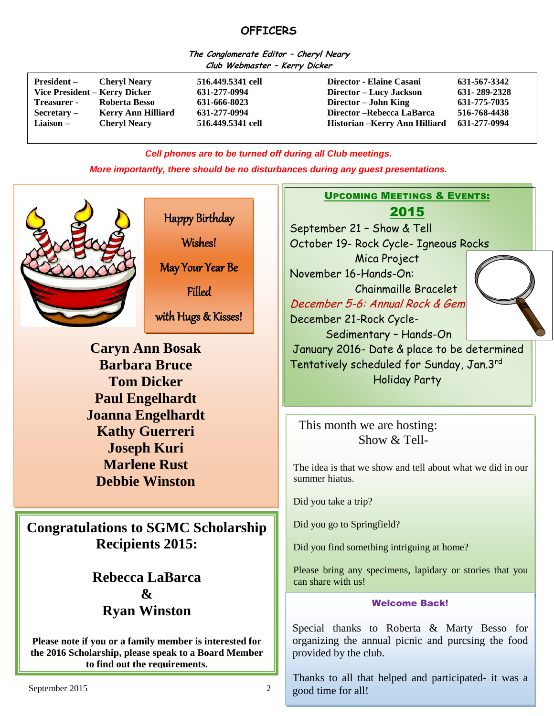## **OFFICERS**

**The Conglomerate Editor – Cheryl Neary Club Webmaster – Kerry Dicker**

| <b>President</b> –<br>Vice President – Kerry Dicker<br><b>Treasurer</b> - | <b>Cheryl Neary</b><br>Roberta Besso | 516,449,5341 cell<br>631-277-0994<br>631-666-8023 | Director - Elaine Casani<br>Director – Lucy Jackson<br>Director – John King | 631-567-3342<br>631-289-2328<br>631-775-7035 |
|---------------------------------------------------------------------------|--------------------------------------|---------------------------------------------------|-----------------------------------------------------------------------------|----------------------------------------------|
| $Sercetary -$                                                             | <b>Kerry Ann Hilliard</b>            | 631-277-0994                                      | Director – Rebecca LaBarca                                                  | 516-768-4438                                 |
| Liaison –                                                                 | <b>Cheryl Neary</b>                  | 516.449.5341 cell                                 | Historian - Kerry Ann Hilliard                                              | 631-277-0994                                 |

*Cell phones are to be turned off during all Club meetings.*

*More importantly, there should be no disturbances during any guest presentations.*



Happy Birthday

Wishes!

May Your Year Be

Filled

with Hugs & Kisses!

**Caryn Ann Bosak Barbara Bruce Tom Dicker Paul Engelhardt Joanna Engelhardt Kathy Guerreri Joseph Kuri Marlene Rust Debbie Winston**

**Congratulations to SGMC Scholarship Recipients 2015:**

 $\overline{a}$ 

**Rebecca LaBarca & Ryan Winston**

**Please note if you or a family member is interested for the 2016 Scholarship, please speak to a Board Member to find out the requirements.**

UPCOMING MEETINGS & EVENTS: 2015

September 21 – Show & Tell October 19- Rock Cycle- Igneous Rocks Mica Project November 16-Hands-On: Chainmaille Bracelet December 5-6: Annual Rock & Gem December 21-Rock Cycle- Sedimentary – Hands-On January 2016- Date & place to be determined Tentatively scheduled for Sunday, Jan.3rd

Holiday Party

This month we are hosting: Show  $&$  Tell-

The idea is that we show and tell about what we did in our summer hiatus.

Did you take a trip?

Did you go to Springfield?

Did you find something intriguing at home?

Please bring any specimens, lapidary or stories that you can share with us!

#### Welcome Back!

Special thanks to Roberta & Marty Besso for organizing the annual picnic and purcsing the food provided by the club.

Thanks to all that helped and participated- it was a good time for all!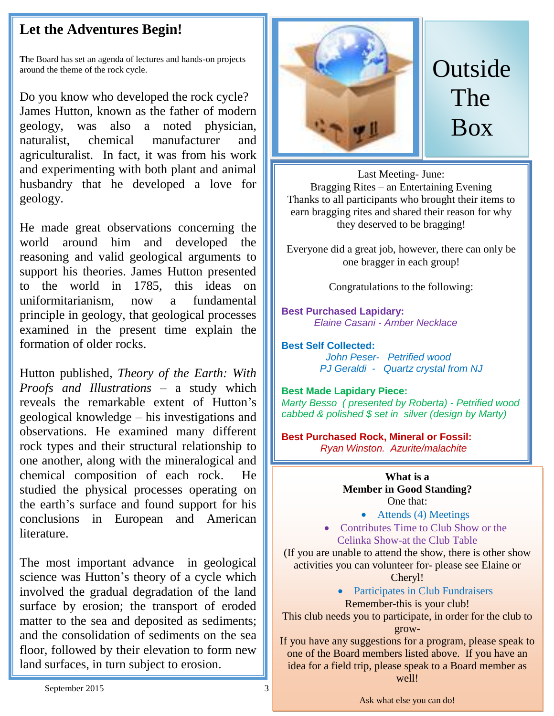## **Let the Adventures Begin!**

**T**he Board has set an agenda of lectures and hands-on projects around the theme of the rock cycle.

Do you know who developed the rock cycle? James Hutton, known as the father of modern geology, was also a noted physician, naturalist, chemical manufacturer and agriculturalist. In fact, it was from his work and experimenting with both plant and animal husbandry that he developed a love for geology.

He made great observations concerning the world around him and developed the reasoning and valid geological arguments to support his theories. James Hutton presented to the world in 1785, this ideas on uniformitarianism, now a fundamental principle in geology, that geological processes examined in the present time explain the formation of older rocks.

Hutton published, *Theory of the Earth: With Proofs and Illustrations –* a study which reveals the remarkable extent of Hutton's geological knowledge – his investigations and observations. He examined many different rock types and their structural relationship to one another, along with the mineralogical and chemical composition of each rock. He studied the physical processes operating on the earth's surface and found support for his conclusions in European and American literature.

The most important advance in geological science was Hutton's theory of a cycle which involved the gradual degradation of the land surface by erosion; the transport of eroded matter to the sea and deposited as sediments; and the consolidation of sediments on the sea floor, followed by their elevation to form new land surfaces, in turn subject to erosion.



# Outside The Box

Last Meeting- June: Bragging Rites – an Entertaining Evening Thanks to all participants who brought their items to earn bragging rites and shared their reason for why they deserved to be bragging!

Everyone did a great job, however, there can only be one bragger in each group!

Congratulations to the following:

**Best Purchased Lapidary:** *Elaine Casani - Amber Necklace*

**Best Self Collected:**  *John Peser- Petrified wood PJ Geraldi - Quartz crystal from NJ*

**Best Made Lapidary Piece:** *Marty Besso ( presented by Roberta) - Petrified wood cabbed & polished \$ set in silver (design by Marty)*

**Best Purchased Rock, Mineral or Fossil:**   *Ryan Winston. Azurite/malachite*

#### **What is a Member in Good Standing?** One that:

- Attends (4) Meetings
- Contributes Time to Club Show or the Celinka Show-at the Club Table

(If you are unable to attend the show, there is other show activities you can volunteer for- please see Elaine or

Cheryl!

• Participates in Club Fundraisers Remember-this is your club!

This club needs you to participate, in order for the club to grow-

If you have any suggestions for a program, please speak to one of the Board members listed above. If you have an idea for a field trip, please speak to a Board member as well!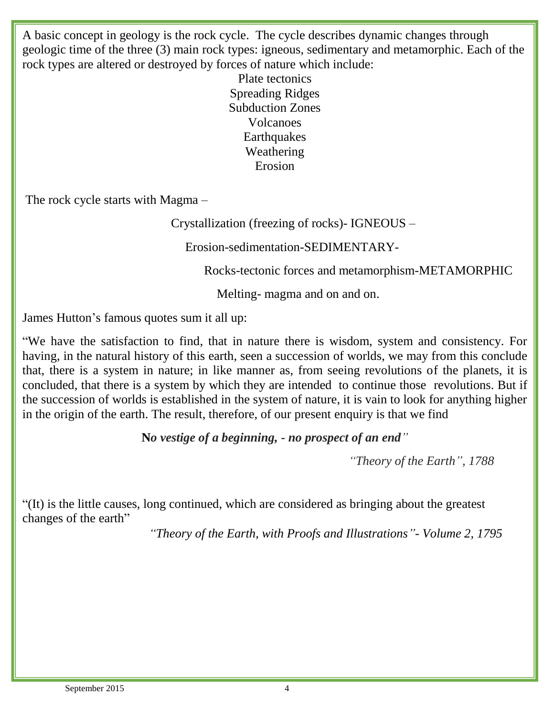A basic concept in geology is the rock cycle. The cycle describes dynamic changes through geologic time of the three (3) main rock types: igneous, sedimentary and metamorphic. Each of the rock types are altered or destroyed by forces of nature which include:

> Plate tectonics Spreading Ridges Subduction Zones Volcanoes **Earthquakes** Weathering Erosion

The rock cycle starts with Magma –

Crystallization (freezing of rocks)- IGNEOUS –

Erosion-sedimentation-SEDIMENTARY-

Rocks-tectonic forces and metamorphism-METAMORPHIC

Melting- magma and on and on.

James Hutton's famous quotes sum it all up:

"We have the satisfaction to find, that in nature there is wisdom, system and consistency. For having, in the natural history of this earth, seen a succession of worlds, we may from this conclude that, there is a system in nature; in like manner as, from seeing revolutions of the planets, it is concluded, that there is a system by which they are intended to continue those revolutions. But if the succession of worlds is established in the system of nature, it is vain to look for anything higher in the origin of the earth. The result, therefore, of our present enquiry is that we find

**N***o vestige of a beginning, - no prospect of an end"*

*"Theory of the Earth", 1788*

"(It) is the little causes, long continued, which are considered as bringing about the greatest changes of the earth"

*"Theory of the Earth, with Proofs and Illustrations"- Volume 2, 1795*